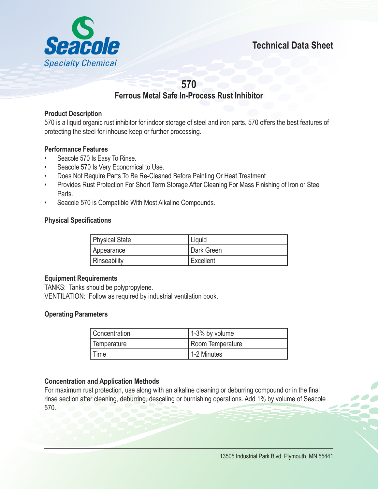

# **570**

## **Ferrous Metal Safe In-Process Rust Inhibitor**

### **Product Description**

570 is a liquid organic rust inhibitor for indoor storage of steel and iron parts. 570 offers the best features of protecting the steel for inhouse keep or further processing.

### **Performance Features**

- Seacole 570 Is Easy To Rinse.
- Seacole 570 Is Very Economical to Use.
- Does Not Require Parts To Be Re-Cleaned Before Painting Or Heat Treatment
- Provides Rust Protection For Short Term Storage After Cleaning For Mass Finishing of Iron or Steel Parts.
- Seacole 570 is Compatible With Most Alkaline Compounds.

### **Physical Specifications**

| <b>Physical State</b> | Liquid     |
|-----------------------|------------|
| Appearance            | Dark Green |
| Rinseability          | Excellent  |

#### **Equipment Requirements**

TANKS: Tanks should be polypropylene. VENTILATION: Follow as required by industrial ventilation book.

#### **Operating Parameters**

| Concentration | 1-3% by volume   |
|---------------|------------------|
| Femperature   | Room Temperature |
| Time          | 1-2 Minutes      |

### **Concentration and Application Methods**

For maximum rust protection, use along with an alkaline cleaning or deburring compound or in the final rinse section after cleaning, deburring, descaling or burnishing operations. Add 1% by volume of Seacole 570.